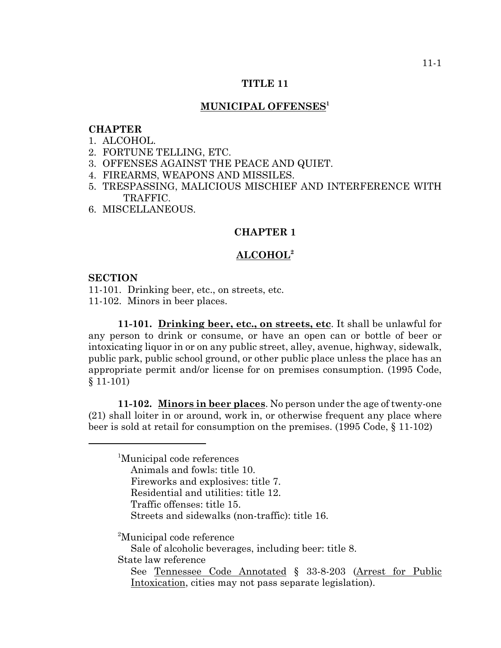#### **TITLE 11**

### **MUNICIPAL OFFENSES1**

### **CHAPTER**

- 1. ALCOHOL.
- 2. FORTUNE TELLING, ETC.
- 3. OFFENSES AGAINST THE PEACE AND QUIET.
- 4. FIREARMS, WEAPONS AND MISSILES.
- 5. TRESPASSING, MALICIOUS MISCHIEF AND INTERFERENCE WITH TRAFFIC.
- 6. MISCELLANEOUS.

### **CHAPTER 1**

## **ALCOHOL2**

#### **SECTION**

11-101. Drinking beer, etc., on streets, etc. 11-102. Minors in beer places.

**11-101. Drinking beer, etc., on streets, etc**. It shall be unlawful for any person to drink or consume, or have an open can or bottle of beer or intoxicating liquor in or on any public street, alley, avenue, highway, sidewalk, public park, public school ground, or other public place unless the place has an appropriate permit and/or license for on premises consumption. (1995 Code, § 11-101)

**11-102. Minors in beer places**. No person under the age of twenty-one (21) shall loiter in or around, work in, or otherwise frequent any place where beer is sold at retail for consumption on the premises. (1995 Code, § 11-102)

<sup>1</sup>Municipal code references Animals and fowls: title 10. Fireworks and explosives: title 7. Residential and utilities: title 12. Traffic offenses: title 15. Streets and sidewalks (non-traffic): title 16.

<sup>2</sup>Municipal code reference

Sale of alcoholic beverages, including beer: title 8.

State law reference

See Tennessee Code Annotated § 33-8-203 (Arrest for Public Intoxication, cities may not pass separate legislation).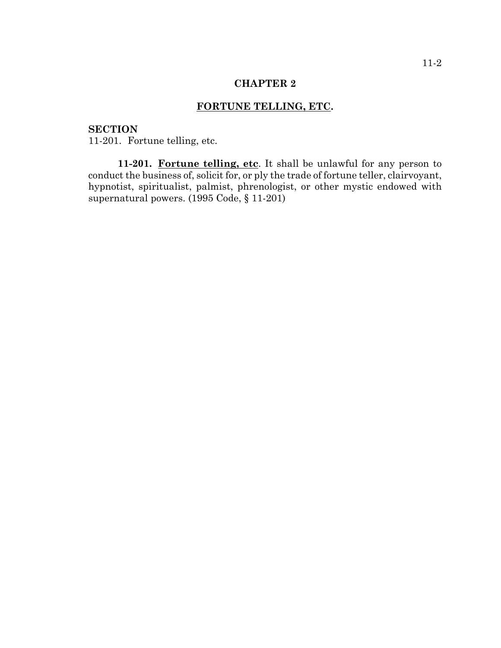# **FORTUNE TELLING, ETC.**

## **SECTION**

11-201. Fortune telling, etc.

11-201. Fortune telling, etc. It shall be unlawful for any person to conduct the business of, solicit for, or ply the trade of fortune teller, clairvoyant, hypnotist, spiritualist, palmist, phrenologist, or other mystic endowed with supernatural powers. (1995 Code, § 11-201)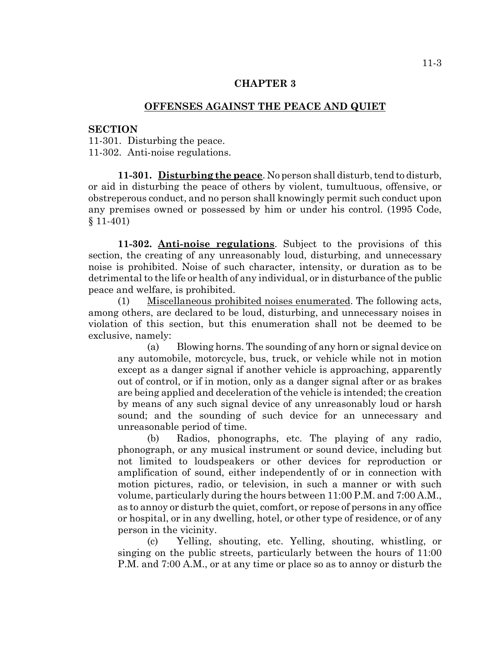## **OFFENSES AGAINST THE PEACE AND QUIET**

#### **SECTION**

11-301. Disturbing the peace. 11-302. Anti-noise regulations.

**11-301. Disturbing the peace**. No person shall disturb, tend to disturb, or aid in disturbing the peace of others by violent, tumultuous, offensive, or obstreperous conduct, and no person shall knowingly permit such conduct upon any premises owned or possessed by him or under his control. (1995 Code, § 11-401)

**11-302. Anti-noise regulations**. Subject to the provisions of this section, the creating of any unreasonably loud, disturbing, and unnecessary noise is prohibited. Noise of such character, intensity, or duration as to be detrimental to the life or health of any individual, or in disturbance of the public peace and welfare, is prohibited.

(1) Miscellaneous prohibited noises enumerated. The following acts, among others, are declared to be loud, disturbing, and unnecessary noises in violation of this section, but this enumeration shall not be deemed to be exclusive, namely:

(a) Blowing horns. The sounding of any horn or signal device on any automobile, motorcycle, bus, truck, or vehicle while not in motion except as a danger signal if another vehicle is approaching, apparently out of control, or if in motion, only as a danger signal after or as brakes are being applied and deceleration of the vehicle is intended; the creation by means of any such signal device of any unreasonably loud or harsh sound; and the sounding of such device for an unnecessary and unreasonable period of time.

(b) Radios, phonographs, etc. The playing of any radio, phonograph, or any musical instrument or sound device, including but not limited to loudspeakers or other devices for reproduction or amplification of sound, either independently of or in connection with motion pictures, radio, or television, in such a manner or with such volume, particularly during the hours between 11:00 P.M. and 7:00 A.M., as to annoy or disturb the quiet, comfort, or repose of persons in any office or hospital, or in any dwelling, hotel, or other type of residence, or of any person in the vicinity.

(c) Yelling, shouting, etc. Yelling, shouting, whistling, or singing on the public streets, particularly between the hours of 11:00 P.M. and 7:00 A.M., or at any time or place so as to annoy or disturb the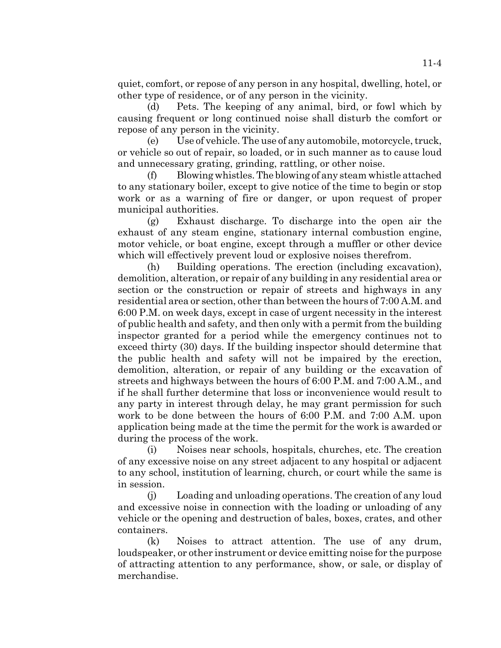quiet, comfort, or repose of any person in any hospital, dwelling, hotel, or other type of residence, or of any person in the vicinity.

(d) Pets. The keeping of any animal, bird, or fowl which by causing frequent or long continued noise shall disturb the comfort or repose of any person in the vicinity.

(e) Use of vehicle. The use of any automobile, motorcycle, truck, or vehicle so out of repair, so loaded, or in such manner as to cause loud and unnecessary grating, grinding, rattling, or other noise.

(f) Blowing whistles. The blowing of any steam whistle attached to any stationary boiler, except to give notice of the time to begin or stop work or as a warning of fire or danger, or upon request of proper municipal authorities.

(g) Exhaust discharge. To discharge into the open air the exhaust of any steam engine, stationary internal combustion engine, motor vehicle, or boat engine, except through a muffler or other device which will effectively prevent loud or explosive noises therefrom.

(h) Building operations. The erection (including excavation), demolition, alteration, or repair of any building in any residential area or section or the construction or repair of streets and highways in any residential area or section, other than between the hours of 7:00 A.M. and 6:00 P.M. on week days, except in case of urgent necessity in the interest of public health and safety, and then only with a permit from the building inspector granted for a period while the emergency continues not to exceed thirty (30) days. If the building inspector should determine that the public health and safety will not be impaired by the erection, demolition, alteration, or repair of any building or the excavation of streets and highways between the hours of 6:00 P.M. and 7:00 A.M., and if he shall further determine that loss or inconvenience would result to any party in interest through delay, he may grant permission for such work to be done between the hours of 6:00 P.M. and 7:00 A.M. upon application being made at the time the permit for the work is awarded or during the process of the work.

(i) Noises near schools, hospitals, churches, etc. The creation of any excessive noise on any street adjacent to any hospital or adjacent to any school, institution of learning, church, or court while the same is in session.

(j) Loading and unloading operations. The creation of any loud and excessive noise in connection with the loading or unloading of any vehicle or the opening and destruction of bales, boxes, crates, and other containers.

(k) Noises to attract attention. The use of any drum, loudspeaker, or other instrument or device emitting noise for the purpose of attracting attention to any performance, show, or sale, or display of merchandise.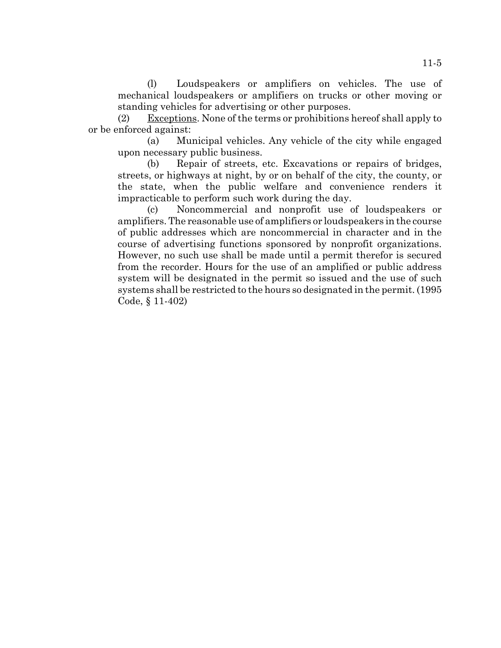(l) Loudspeakers or amplifiers on vehicles. The use of mechanical loudspeakers or amplifiers on trucks or other moving or standing vehicles for advertising or other purposes.

(2) Exceptions. None of the terms or prohibitions hereof shall apply to or be enforced against:

(a) Municipal vehicles. Any vehicle of the city while engaged upon necessary public business.

(b) Repair of streets, etc. Excavations or repairs of bridges, streets, or highways at night, by or on behalf of the city, the county, or the state, when the public welfare and convenience renders it impracticable to perform such work during the day.

(c) Noncommercial and nonprofit use of loudspeakers or amplifiers. The reasonable use of amplifiers or loudspeakers in the course of public addresses which are noncommercial in character and in the course of advertising functions sponsored by nonprofit organizations. However, no such use shall be made until a permit therefor is secured from the recorder. Hours for the use of an amplified or public address system will be designated in the permit so issued and the use of such systems shall be restricted to the hours so designated in the permit. (1995 Code, § 11-402)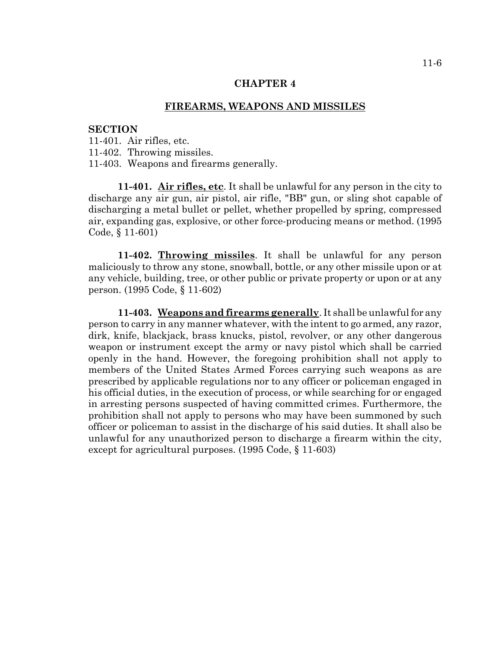# **FIREARMS, WEAPONS AND MISSILES**

#### **SECTION**

11-401. Air rifles, etc.

11-402. Throwing missiles.

11-403. Weapons and firearms generally.

**11-401. Air rifles, etc**. It shall be unlawful for any person in the city to discharge any air gun, air pistol, air rifle, "BB" gun, or sling shot capable of discharging a metal bullet or pellet, whether propelled by spring, compressed air, expanding gas, explosive, or other force-producing means or method. (1995 Code, § 11-601)

**11-402. Throwing missiles**. It shall be unlawful for any person maliciously to throw any stone, snowball, bottle, or any other missile upon or at any vehicle, building, tree, or other public or private property or upon or at any person. (1995 Code, § 11-602)

**11-403. Weapons and firearms generally**. It shall be unlawful for any person to carry in any manner whatever, with the intent to go armed, any razor, dirk, knife, blackjack, brass knucks, pistol, revolver, or any other dangerous weapon or instrument except the army or navy pistol which shall be carried openly in the hand. However, the foregoing prohibition shall not apply to members of the United States Armed Forces carrying such weapons as are prescribed by applicable regulations nor to any officer or policeman engaged in his official duties, in the execution of process, or while searching for or engaged in arresting persons suspected of having committed crimes. Furthermore, the prohibition shall not apply to persons who may have been summoned by such officer or policeman to assist in the discharge of his said duties. It shall also be unlawful for any unauthorized person to discharge a firearm within the city, except for agricultural purposes. (1995 Code, § 11-603)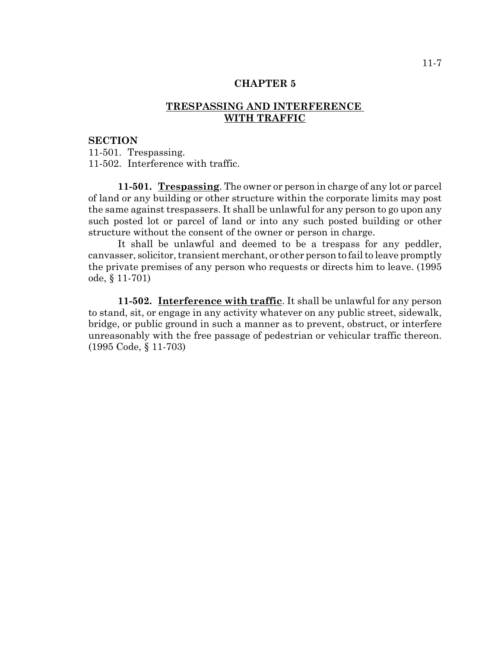## **TRESPASSING AND INTERFERENCE WITH TRAFFIC**

### **SECTION**

11-501. Trespassing. 11-502. Interference with traffic.

**11-501. Trespassing**. The owner or person in charge of any lot or parcel of land or any building or other structure within the corporate limits may post the same against trespassers. It shall be unlawful for any person to go upon any such posted lot or parcel of land or into any such posted building or other structure without the consent of the owner or person in charge.

It shall be unlawful and deemed to be a trespass for any peddler, canvasser, solicitor, transient merchant, or other person to fail to leave promptly the private premises of any person who requests or directs him to leave. (1995 ode, § 11-701)

**11-502. Interference with traffic**. It shall be unlawful for any person to stand, sit, or engage in any activity whatever on any public street, sidewalk, bridge, or public ground in such a manner as to prevent, obstruct, or interfere unreasonably with the free passage of pedestrian or vehicular traffic thereon. (1995 Code, § 11-703)